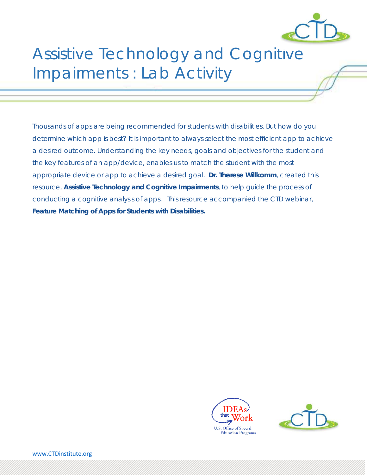

# Assistive Technology and Cognitive Impairments : Lab Activity

Thousands of apps are being recommended for students with disabilities. But how do you determine which app is best? It is important to always select the most efficient app to achieve a desired outcome. Understanding the key needs, goals and objectives for the student and the key features of an app/device, enables us to match the student with the most appropriate device or app to achieve a desired goal. **Dr. Therese Willkomm**, created this resource, **Assistive Technology and Cognitive Impairments**, to help guide the process of conducting a cognitive analysis of apps. This resource accompanied the CTD webinar, *Feature Matching of Apps for Students with Disabilities.*



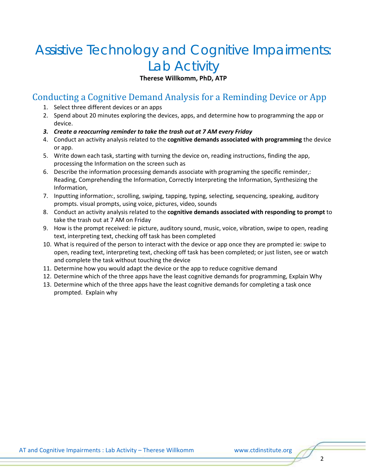# Assistive Technology and Cognitive Impairments: Lab Activity

**Therese Willkomm, PhD, ATP**

#### Conducting a Cognitive Demand Analysis for a Reminding Device or App

- 1. Select three different devices or an apps
- 2. Spend about 20 minutes exploring the devices, apps, and determine how to programming the app or device.
- *3. Create a reoccurring reminder to take the trash out at 7 AM every Friday*
- 4. Conduct an activity analysis related to the **cognitive demands associated with programming** the device or app.
- 5. Write down each task, starting with turning the device on, reading instructions, finding the app, processing the Information on the screen such as
- 6. Describe the information processing demands associate with programing the specific reminder,: Reading, Comprehending the Information, Correctly Interpreting the Information, Synthesizing the Information,
- 7. Inputting information:, scrolling, swiping, tapping, typing, selecting, sequencing, speaking, auditory prompts. visual prompts, using voice, pictures, video, sounds
- 8. Conduct an activity analysis related to the **cognitive demands associated with responding to prompt** to take the trash out at 7 AM on Friday
- 9. How is the prompt received: ie picture, auditory sound, music, voice, vibration, swipe to open, reading text, interpreting text, checking off task has been completed
- 10. What is required of the person to interact with the device or app once they are prompted ie: swipe to open, reading text, interpreting text, checking off task has been completed; or just listen, see or watch and complete the task without touching the device
- 11. Determine how you would adapt the device or the app to reduce cognitive demand
- 12. Determine which of the three apps have the least cognitive demands for programming, Explain Why
- 13. Determine which of the three apps have the least cognitive demands for completing a task once prompted. Explain why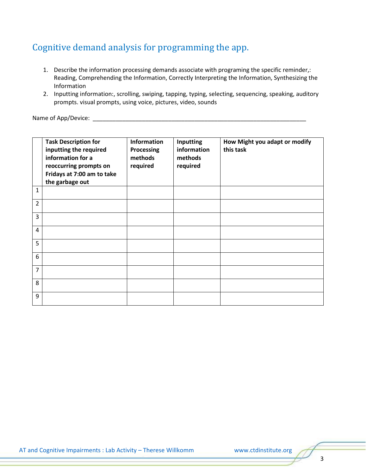## Cognitive demand analysis for programming the app.

- 1. Describe the information processing demands associate with programing the specific reminder,: Reading, Comprehending the Information, Correctly Interpreting the Information, Synthesizing the Information
- 2. Inputting information:, scrolling, swiping, tapping, typing, selecting, sequencing, speaking, auditory prompts. visual prompts, using voice, pictures, video, sounds

Name of App/Device: \_\_\_\_\_\_\_\_\_\_\_\_\_\_\_\_\_\_\_\_\_\_\_\_\_\_\_\_\_\_\_\_\_\_\_\_\_\_\_\_\_\_\_\_\_\_\_\_\_\_\_\_\_\_\_\_\_\_\_\_\_\_\_\_\_

|                | <b>Task Description for</b><br>inputting the required<br>information for a<br>reoccurring prompts on<br>Fridays at 7:00 am to take<br>the garbage out | <b>Information</b><br><b>Processing</b><br>methods<br>required | Inputting<br>information<br>methods<br>required | How Might you adapt or modify<br>this task |
|----------------|-------------------------------------------------------------------------------------------------------------------------------------------------------|----------------------------------------------------------------|-------------------------------------------------|--------------------------------------------|
| $\mathbf{1}$   |                                                                                                                                                       |                                                                |                                                 |                                            |
| $\overline{2}$ |                                                                                                                                                       |                                                                |                                                 |                                            |
| 3              |                                                                                                                                                       |                                                                |                                                 |                                            |
| $\overline{4}$ |                                                                                                                                                       |                                                                |                                                 |                                            |
| 5              |                                                                                                                                                       |                                                                |                                                 |                                            |
| 6              |                                                                                                                                                       |                                                                |                                                 |                                            |
| $\overline{7}$ |                                                                                                                                                       |                                                                |                                                 |                                            |
| 8              |                                                                                                                                                       |                                                                |                                                 |                                            |
| 9              |                                                                                                                                                       |                                                                |                                                 |                                            |